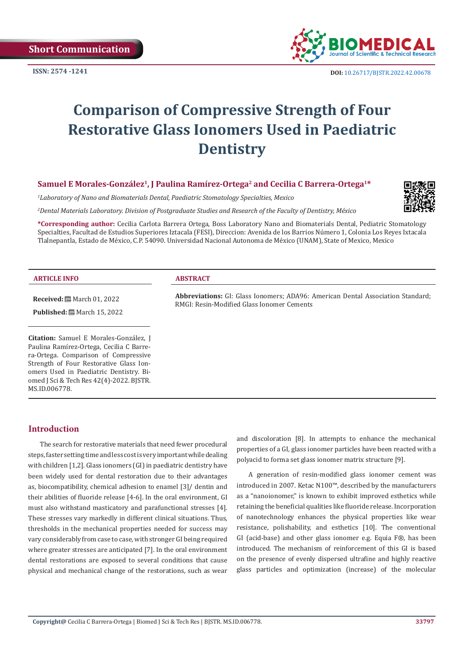**Short Communication**



# **Comparison of Compressive Strength of Four Restorative Glass Ionomers Used in Paediatric Dentistry**

# Samuel E Morales-González<sup>1</sup>, J Paulina Ramírez-Ortega<sup>2</sup> and Cecilia C Barrera-Ortega<sup>1\*</sup>

*1 Laboratory of Nano and Biomaterials Dental, Paediatric Stomatology Specialties, Mexico*

*2 Dental Materials Laboratory. Division of Postgraduate Studies and Research of the Faculty of Dentistry, México* 



**\*Corresponding author:** Cecilia Carlota Barrera Ortega, Boss Laboratory Nano and Biomaterials Dental, Pediatric Stomatology Specialties, Facultad de Estudios Superiores Iztacala (FESI), Direccion: Avenida de los Barrios Número 1, Colonia Los Reyes Ixtacala Tlalnepantla, Estado de México, C.P. 54090. Universidad Nacional Autonoma de México (UNAM), State of Mexico, Mexico

RMGI: Resin-Modified Glass Ionomer Cements

#### **ARTICLE INFO ABSTRACT**

**Received:** March 01, 2022 **Published:** ■ March 15, 2022

**Citation:** Samuel E Morales-González, J Paulina Ramírez-Ortega, Cecilia C Barrera-Ortega. Comparison of Compressive Strength of Four Restorative Glass Ionomers Used in Paediatric Dentistry. Biomed J Sci & Tech Res 42(4)-2022. BJSTR. MS.ID.006778.

# **Introduction**

The search for restorative materials that need fewer procedural steps, faster setting time and less cost is very important while dealing with children [1,2]. Glass ionomers (GI) in paediatric dentistry have been widely used for dental restoration due to their advantages as, biocompatibility, chemical adhesion to enamel [3]/ dentin and their abilities of fluoride release [4-6]. In the oral environment, GI must also withstand masticatory and parafunctional stresses [4]. These stresses vary markedly in different clinical situations. Thus, thresholds in the mechanical properties needed for success may vary considerably from case to case, with stronger GI being required where greater stresses are anticipated [7]. In the oral environment dental restorations are exposed to several conditions that cause physical and mechanical change of the restorations, such as wear

and discoloration [8]. In attempts to enhance the mechanical properties of a GI, glass ionomer particles have been reacted with a polyacid to forma set glass ionomer matrix structure [9].

**Abbreviations:** GI: Glass Ionomers; ADA96: American Dental Association Standard;

A generation of resin-modified glass ionomer cement was introduced in 2007. Ketac N100™, described by the manufacturers as a "nanoionomer," is known to exhibit improved esthetics while retaining the beneficial qualities like fluoride release. Incorporation of nanotechnology enhances the physical properties like wear resistance, polishability, and esthetics [10]. The conventional GI (acid-base) and other glass ionomer e.g. Equia F®, has been introduced. The mechanism of reinforcement of this GI is based on the presence of evenly dispersed ultrafine and highly reactive glass particles and optimization (increase) of the molecular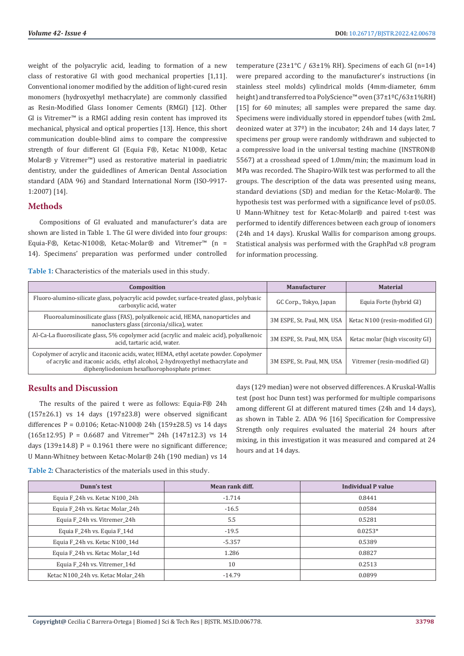weight of the polyacrylic acid, leading to formation of a new class of restorative GI with good mechanical properties [1,11]. Conventional ionomer modified by the addition of light-cured resin monomers (hydroxyethyl methacrylate) are commonly classified as Resin-Modified Glass Ionomer Cements (RMGI) [12]. Other GI is Vitremer™ is a RMGI adding resin content has improved its mechanical, physical and optical properties [13]. Hence, this short communication double-blind aims to compare the compressive strength of four different GI (Equia F®, Ketac N100®, Ketac Molar® y Vitremer™) used as restorative material in paediatric dentistry, under the guidedlines of American Dental Association standard (ADA 96) and Standard International Norm (ISO-9917- 1:2007) [14].

## **Methods**

Compositions of GI evaluated and manufacturer's data are shown are listed in Table 1. The GI were divided into four groups: Equia-F®, Ketac-N100®, Ketac-Molar® and Vitremer™ (n = 14). Specimens' preparation was performed under controlled

**Table 1:** Characteristics of the materials used in this study.

temperature ( $23\pm1\degree$ C /  $63\pm1\%$  RH). Specimens of each GI (n=14) were prepared according to the manufacturer's instructions (in stainless steel molds) cylindrical molds (4mm-diameter, 6mm height) and transferred to a PolyScience™ oven (37±1ºC/63±1%RH) [15] for 60 minutes; all samples were prepared the same day. Specimens were individually stored in eppendorf tubes (with 2mL deonized water at 37º) in the incubator; 24h and 14 days later, 7 specimens per group were randomly withdrawn and subjected to a compressive load in the universal testing machine (INSTRON® 5567) at a crosshead speed of 1.0mm/min; the maximum load in MPa was recorded. The Shapiro-Wilk test was performed to all the groups. The description of the data was presented using means, standard deviations (SD) and median for the Ketac-Molar®. The hypothesis test was performed with a significance level of p≤0.05. U Mann-Whitney test for Ketac-Molar® and paired t-test was performed to identify differences between each group of ionomers (24h and 14 days). Kruskal Wallis for comparison among groups. Statistical analysis was performed with the GraphPad v.8 program for information processing.

| Composition                                                                                                                                                                                                             | <b>Manufacturer</b>        | <b>Material</b>                 |
|-------------------------------------------------------------------------------------------------------------------------------------------------------------------------------------------------------------------------|----------------------------|---------------------------------|
| Fluoro-alumino-silicate glass, polyacrylic acid powder, surface-treated glass, polybasic<br>carboxylic acid, water                                                                                                      | GC Corp., Tokyo, Japan     | Equia Forte (hybrid GI)         |
| Fluoroaluminosilicate glass (FAS), polyalkenoic acid, HEMA, nanoparticles and<br>nanoclusters glass (zirconia/silica), water.                                                                                           | 3M ESPE, St. Paul, MN, USA | Ketac N100 (resin-modified GI)  |
| Al-Ca-La fluorosilicate glass, 5% copolymer acid (acrylic and maleic acid), polyalkenoic<br>acid, tartaric acid, water.                                                                                                 | 3M ESPE, St. Paul, MN, USA | Ketac molar (high viscosity GI) |
| Copolymer of acrylic and itaconic acids, water, HEMA, ethyl acetate powder. Copolymer<br>of acrylic and it aconic acids, ethyl alcohol, 2-hydroxyethyl methacrylate and<br>diphenyliodonium hexafluorophosphate primer. | 3M ESPE, St. Paul, MN, USA | Vitremer (resin-modified GI)    |

# **Results and Discussion**

The results of the paired t were as follows: Equia-F® 24h  $(157\pm26.1)$  vs 14 days  $(197\pm23.8)$  were observed significant differences P =  $0.0106$ ; Ketac-N100® 24h (159±28.5) vs 14 days (165±12.95) P = 0.6687 and Vitremer<sup>™</sup> 24h (147±12.3) vs 14 days (139 $\pm$ 14.8) P = 0.1961 there were no significant difference; U Mann-Whitney between Ketac-Molar® 24h (190 median) vs 14

days (129 median) were not observed differences. A Kruskal-Wallis test (post hoc Dunn test) was performed for multiple comparisons among different GI at different matured times (24h and 14 days), as shown in Table 2. ADA 96 [16] Specification for Compressive Strength only requires evaluated the material 24 hours after mixing, in this investigation it was measured and compared at 24 hours and at 14 days.

**Table 2:** Characteristics of the materials used in this study.

| Dunn's test                        | Mean rank diff. | Individual P value |
|------------------------------------|-----------------|--------------------|
| Equia F 24h vs. Ketac N100 24h     | $-1.714$        | 0.8441             |
| Equia F 24h vs. Ketac Molar 24h    | $-16.5$         | 0.0584             |
| Equia F 24h vs. Vitremer 24h       | 5.5             | 0.5281             |
| Equia F_24h vs. Equia F_14d        | $-19.5$         | $0.0253*$          |
| Equia F 24h vs. Ketac N100 14d     | $-5.357$        | 0.5389             |
| Equia F 24h vs. Ketac Molar 14d    | 1.286           | 0.8827             |
| Equia F_24h vs. Vitremer_14d       | 10              | 0.2513             |
| Ketac N100 24h vs. Ketac Molar 24h | $-14.79$        | 0.0899             |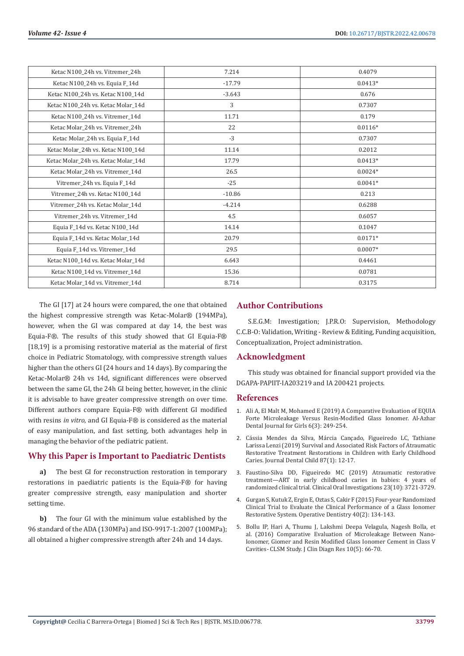| Ketac N100 24h vs. Vitremer 24h                                   | 7.214    | 0.4079    |
|-------------------------------------------------------------------|----------|-----------|
| Ketac N100_24h vs. Equia F_14d                                    | $-17.79$ | $0.0413*$ |
| Ketac N100_24h vs. Ketac N100_14d                                 | $-3.643$ | 0.676     |
| Ketac N100_24h vs. Ketac Molar_14d                                | 3        | 0.7307    |
| Ketac N100 24h vs. Vitremer 14d                                   | 11.71    | 0.179     |
| Ketac Molar_24h vs. Vitremer_24h                                  | 22       | $0.0116*$ |
| Ketac Molar_24h vs. Equia F_14d                                   | $-3$     | 0.7307    |
| Ketac Molar 24h vs. Ketac N100 14d                                | 11.14    | 0.2012    |
| Ketac Molar 24h vs. Ketac Molar 14d                               | 17.79    | $0.0413*$ |
| Ketac Molar_24h vs. Vitremer_14d                                  | 26.5     | $0.0024*$ |
| Vitremer_24h vs. Equia F_14d                                      | $-25$    | $0.0041*$ |
| Vitremer_24h vs. Ketac N100_14d                                   | $-10.86$ | 0.213     |
| Vitremer_24h vs. Ketac Molar_14d                                  | $-4.214$ | 0.6288    |
| Vitremer_24h vs. Vitremer_14d                                     | 4.5      | 0.6057    |
| Equia F <sub>14</sub> d vs. Ketac N <sub>100</sub> <sub>14d</sub> | 14.14    | 0.1047    |
| Equia F_14d vs. Ketac Molar_14d                                   | 20.79    | $0.0171*$ |
| Equia F_14d vs. Vitremer_14d                                      | 29.5     | $0.0007*$ |
| Ketac N100 14d vs. Ketac Molar 14d                                | 6.643    | 0.4461    |
| Ketac N100_14d vs. Vitremer_14d                                   | 15.36    | 0.0781    |
| Ketac Molar_14d vs. Vitremer_14d                                  | 8.714    | 0.3175    |

The GI [17] at 24 hours were compared, the one that obtained the highest compressive strength was Ketac-Molar® (194MPa), however, when the GI was compared at day 14, the best was Equia-F®. The results of this study showed that GI Equia-F® [18,19] is a promising restorative material as the material of first choice in Pediatric Stomatology, with compressive strength values higher than the others GI (24 hours and 14 days). By comparing the Ketac-Molar® 24h vs 14d, significant differences were observed between the same GI, the 24h GI being better, however, in the clinic it is advisable to have greater compressive strength on over time. Different authors compare Equia-F® with different GI modified with resins *in vitro*, and GI Equia-F® is considered as the material of easy manipulation, and fast setting, both advantages help in managing the behavior of the pediatric patient.

### **Why this Paper is Important to Paediatric Dentists**

**a)** The best GI for reconstruction restoration in temporary restorations in paediatric patients is the Equia-F® for having greater compressive strength, easy manipulation and shorter setting time.

**b)** The four GI with the minimum value established by the 96 standard of the ADA (130MPa) and ISO-9917-1:2007 (100MPa); all obtained a higher compressive strength after 24h and 14 days.

# **Author Contributions**

S.E.G.M: Investigation; J.P.R.O: Supervision, Methodology C.C.B-O: Validation, Writing - Review & Editing, Funding acquisition, Conceptualization, Project administration.

#### **Acknowledgment**

This study was obtained for financial support provided via the DGAPA-PAPIIT-IA203219 and IA 200421 projects.

#### **References**

- 1. [Ali A, El Malt M, Mohamed E \(2019\) A Comparative Evaluation of EQUIA](https://adjg.journals.ekb.eg/article_62103.html) [Forte Microleakage Versus Resin-Modified Glass Ionomer. Al-Azhar](https://adjg.journals.ekb.eg/article_62103.html) [Dental Journal for Girls 6\(3\): 249-254.](https://adjg.journals.ekb.eg/article_62103.html)
- 2. [Cássia Mendes da Silva, Márcia Cançado, Figueiredo LC, Tathiane](https://pubmed.ncbi.nlm.nih.gov/32151305/) [Larissa Lenzi \(2019\) Survival and Associated Risk Factors of Atraumatic](https://pubmed.ncbi.nlm.nih.gov/32151305/) [Restorative Treatment Restorations in Children with Early Childhood](https://pubmed.ncbi.nlm.nih.gov/32151305/) [Caries. Journal Dental Child 87\(1\): 12-17.](https://pubmed.ncbi.nlm.nih.gov/32151305/)
- 3. [Faustino-Silva DD, Figueiredo MC \(2019\) Atraumatic restorative](https://pubmed.ncbi.nlm.nih.gov/30666480/) [treatment—ART in early childhood caries in babies: 4 years of](https://pubmed.ncbi.nlm.nih.gov/30666480/) [randomized clinical trial. Clinical Oral Investigations 23\(10\): 3721-3729.](https://pubmed.ncbi.nlm.nih.gov/30666480/)
- 4. [Gurgan S, Kutuk Z, Ergin E, Oztas S, Cakir F \(2015\) Four-year Randomized](https://pubmed.ncbi.nlm.nih.gov/25299703/) [Clinical Trial to Evaluate the Clinical Performance of a Glass Ionomer](https://pubmed.ncbi.nlm.nih.gov/25299703/) [Restorative System. Operative Dentistry 40\(2\): 134-143.](https://pubmed.ncbi.nlm.nih.gov/25299703/)
- 5. [Bollu IP, Hari A, Thumu J, Lakshmi Deepa Velagula, Nagesh Bolla, et](https://www.ncbi.nlm.nih.gov/labs/pmc/articles/PMC4948539/) [al. \(2016\) Comparative Evaluation of Microleakage Between Nano-](https://www.ncbi.nlm.nih.gov/labs/pmc/articles/PMC4948539/)[Ionomer, Giomer and Resin Modified Glass Ionomer Cement in Class V](https://www.ncbi.nlm.nih.gov/labs/pmc/articles/PMC4948539/) [Cavities- CLSM Study. J Clin Diagn Res 10\(5\): 66-70.](https://www.ncbi.nlm.nih.gov/labs/pmc/articles/PMC4948539/)